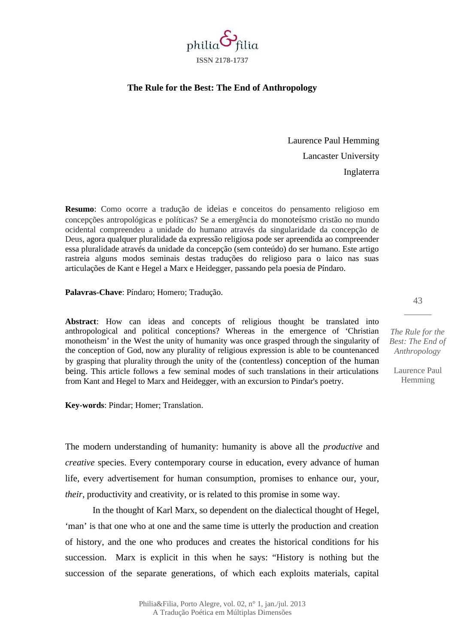

## **The Rule for the Best: The End of Anthropology**

Laurence Paul Hemming Lancaster University Inglaterra

**Resumo**: Como ocorre a tradução de ideias e conceitos do pensamento religioso em concepções antropológicas e políticas? Se a emergência do monoteísmo cristão no mundo ocidental compreendeu a unidade do humano através da singularidade da concepção de Deus, agora qualquer pluralidade da expressão religiosa pode ser apreendida ao compreender essa pluralidade através da unidade da concepção (sem conteúdo) do ser humano. Este artigo rastreia alguns modos seminais destas traduções do religioso para o laico nas suas articulações de Kant e Hegel a Marx e Heidegger, passando pela poesia de Píndaro.

**Palavras-Chave**: Píndaro; Homero; Tradução.

**Abstract**: How can ideas and concepts of religious thought be translated into anthropological and political conceptions? Whereas in the emergence of 'Christian monotheism' in the West the unity of humanity was once grasped through the singularity of the conception of God, now any plurality of religious expression is able to be countenanced by grasping that plurality through the unity of the (contentless) conception of the human being. This article follows a few seminal modes of such translations in their articulations from Kant and Hegel to Marx and Heidegger, with an excursion to Pindar's poetry.

**Key-words**: Pindar; Homer; Translation.

The modern understanding of humanity: humanity is above all the *productive* and *creative* species. Every contemporary course in education, every advance of human life, every advertisement for human consumption, promises to enhance our, your, *their*, productivity and creativity, or is related to this promise in some way.

In the thought of Karl Marx, so dependent on the dialectical thought of Hegel, 'man' is that one who at one and the same time is utterly the production and creation of history, and the one who produces and creates the historical conditions for his succession. Marx is explicit in this when he says: "History is nothing but the succession of the separate generations, of which each exploits materials, capital

*The Rule for the Best: The End of Anthropology*

43  $\overline{\phantom{a}}$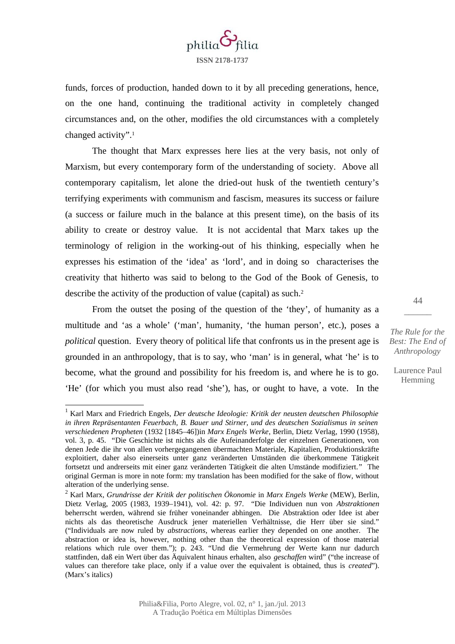

funds, forces of production, handed down to it by all preceding generations, hence, on the one hand, continuing the traditional activity in completely changed circumstances and, on the other, modifies the old circumstances with a completely changed activity".[1](#page-1-0)

The thought that Marx expresses here lies at the very basis, not only of Marxism, but every contemporary form of the understanding of society. Above all contemporary capitalism, let alone the dried-out husk of the twentieth century's terrifying experiments with communism and fascism, measures its success or failure (a success or failure much in the balance at this present time), on the basis of its ability to create or destroy value. It is not accidental that Marx takes up the terminology of religion in the working-out of his thinking, especially when he expresses his estimation of the 'idea' as 'lord', and in doing so characterises the creativity that hitherto was said to belong to the God of the Book of Genesis, to describe the activity of the production of value (capital) as such.<sup>[2](#page-1-1)</sup>

From the outset the posing of the question of the 'they', of humanity as a multitude and 'as a whole' ('man', humanity, 'the human person', etc.), poses a *political* question. Every theory of political life that confronts us in the present age is grounded in an anthropology, that is to say, who 'man' is in general, what 'he' is to become, what the ground and possibility for his freedom is, and where he is to go. 'He' (for which you must also read 'she'), has, or ought to have, a vote. In the

44  $\overline{\phantom{a}}$ 

*The Rule for the Best: The End of Anthropology*

<span id="page-1-0"></span><sup>&</sup>lt;sup>1</sup> Karl Marx and Friedrich Engels, *Der deutsche Ideologie: Kritik der neusten deutschen Philosophie in ihren Repräsentanten Feuerbach, B. Bauer und Stirner, und des deutschen Sozialismus in seinen verschiedenen Propheten* (1932 [1845–46])in *Marx Engels Werke*, Berlin, Dietz Verlag, 1990 (1958), vol. 3, p. 45. "Die Geschichte ist nichts als die Aufeinanderfolge der einzelnen Generationen, von denen Jede die ihr von allen vorhergegangenen übermachten Materiale, Kapitalien, Produktionskräfte exploitiert, daher also einerseits unter ganz veränderten Umständen die überkommene Tätigkeit fortsetzt und andrerseits mit einer ganz veränderten Tätigkeit die alten Umstände modifiziert." The original German is more in note form: my translation has been modified for the sake of flow, without alteration of the underlying sense.

<span id="page-1-1"></span><sup>2</sup> Karl Marx, *Grundrisse der Kritik der politischen Ökonomie* in *Marx Engels Werke* (MEW), Berlin, Dietz Verlag, 2005 (1983, 1939–1941), vol. 42: p. 97. "Die Individuen nun von *Abstraktionen* beherrscht werden, während sie früher voneinander abhingen. Die Abstraktion oder Idee ist aber nichts als das theoretische Ausdruck jener materiellen Verhältnisse, die Herr über sie sind." ("Individuals are now ruled by *abstractions*, whereas earlier they depended on one another. The abstraction or idea is, however, nothing other than the theoretical expression of those material relations which rule over them."); p. 243. "Und die Vermehrung der Werte kann nur dadurch stattfinden, daß ein Wert über das Äquivalent hinaus erhalten, also *geschaffen* wird" ("the increase of values can therefore take place, only if a value over the equivalent is obtained, thus is *created*"). (Marx's italics)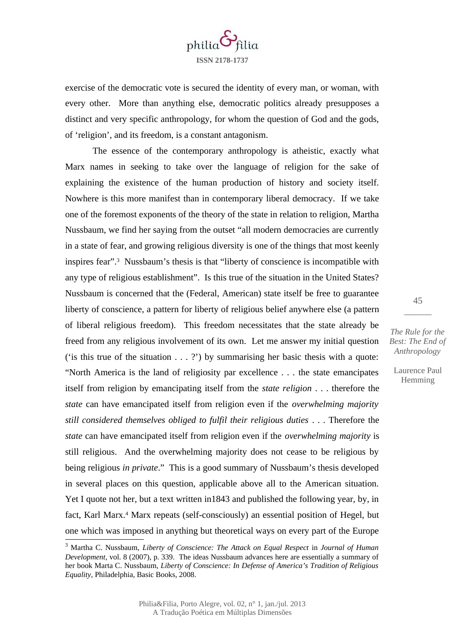

exercise of the democratic vote is secured the identity of every man, or woman, with every other. More than anything else, democratic politics already presupposes a distinct and very specific anthropology, for whom the question of God and the gods, of 'religion', and its freedom, is a constant antagonism.

The essence of the contemporary anthropology is atheistic, exactly what Marx names in seeking to take over the language of religion for the sake of explaining the existence of the human production of history and society itself. Nowhere is this more manifest than in contemporary liberal democracy. If we take one of the foremost exponents of the theory of the state in relation to religion, Martha Nussbaum, we find her saying from the outset "all modern democracies are currently in a state of fear, and growing religious diversity is one of the things that most keenly inspires fear".[3](#page-2-0) Nussbaum's thesis is that "liberty of conscience is incompatible with any type of religious establishment". Is this true of the situation in the United States? Nussbaum is concerned that the (Federal, American) state itself be free to guarantee liberty of conscience, a pattern for liberty of religious belief anywhere else (a pattern of liberal religious freedom). This freedom necessitates that the state already be freed from any religious involvement of its own. Let me answer my initial question ( $'$ is this true of the situation  $\dots$  ?) by summarising her basic thesis with a quote: "North America is the land of religiosity par excellence . . . the state emancipates itself from religion by emancipating itself from the *state religion* . . . therefore the *state* can have emancipated itself from religion even if the *overwhelming majority still considered themselves obliged to fulfil their religious duties* . . . Therefore the *state* can have emancipated itself from religion even if the *overwhelming majority* is still religious. And the overwhelming majority does not cease to be religious by being religious *in private*." This is a good summary of Nussbaum's thesis developed in several places on this question, applicable above all to the American situation. Yet I quote not her, but a text written in1843 and published the following year, by, in fact, Karl Marx.<sup>[4](#page-3-0)</sup> Marx repeats (self-consciously) an essential position of Hegel, but one which was imposed in anything but theoretical ways on every part of the Europe

*The Rule for the Best: The End of Anthropology*

45  $\overline{\phantom{a}}$ 

<span id="page-2-0"></span><sup>3</sup> Martha C. Nussbaum, *Liberty of Conscience: The Attack on Equal Respect* in *Journal of Human Development*, vol. 8 (2007), p. 339. The ideas Nussbaum advances here are essentially a summary of her book Marta C. Nussbaum, *Liberty of Conscience: In Defense of America's Tradition of Religious Equality*, Philadelphia, Basic Books, 2008.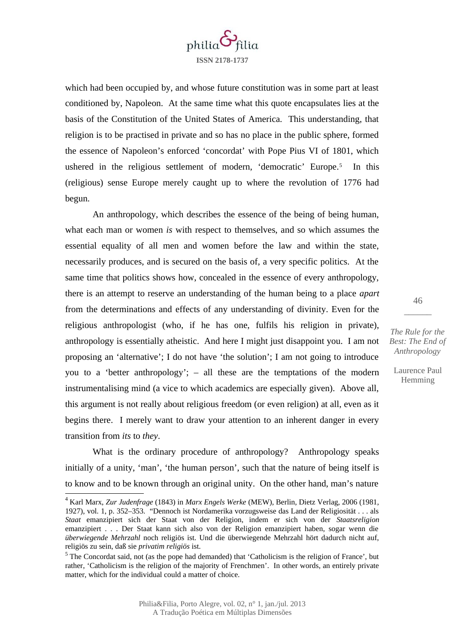

which had been occupied by, and whose future constitution was in some part at least conditioned by, Napoleon. At the same time what this quote encapsulates lies at the basis of the Constitution of the United States of America. This understanding, that religion is to be practised in private and so has no place in the public sphere, formed the essence of Napoleon's enforced 'concordat' with Pope Pius VI of 1801, which ushered in the religious settlement of modern, 'democratic' Europe.<sup>[5](#page-3-1)</sup> In this (religious) sense Europe merely caught up to where the revolution of 1776 had begun.

An anthropology, which describes the essence of the being of being human, what each man or women *is* with respect to themselves, and so which assumes the essential equality of all men and women before the law and within the state, necessarily produces, and is secured on the basis of, a very specific politics. At the same time that politics shows how, concealed in the essence of every anthropology, there is an attempt to reserve an understanding of the human being to a place *apart* from the determinations and effects of any understanding of divinity. Even for the religious anthropologist (who, if he has one, fulfils his religion in private), anthropology is essentially atheistic. And here I might just disappoint you. I am not proposing an 'alternative'; I do not have 'the solution'; I am not going to introduce you to a 'better anthropology'; – all these are the temptations of the modern instrumentalising mind (a vice to which academics are especially given). Above all, this argument is not really about religious freedom (or even religion) at all, even as it begins there. I merely want to draw your attention to an inherent danger in every transition from *its* to *they*.

What is the ordinary procedure of anthropology? Anthropology speaks initially of a unity, 'man', 'the human person', such that the nature of being itself is to know and to be known through an original unity. On the other hand, man's nature

*The Rule for the Best: The End of Anthropology*

46  $\overline{\phantom{a}}$ 

<span id="page-3-0"></span><sup>4</sup> Karl Marx, *Zur Judenfrage* (1843) in *Marx Engels Werke* (MEW), Berlin, Dietz Verlag, 2006 (1981, 1927), vol. 1, p. 352–353. "Dennoch ist Nordamerika vorzugsweise das Land der Religiosität . . . als *Staat* emanzipiert sich der Staat von der Religion, indem er sich von der *Staatsreligion* emanzipiert . . . Der Staat kann sich also von der Religion emanzipiert haben, sogar wenn die *überwiegende Mehrzahl* noch religiös ist. Und die überwiegende Mehrzahl hört dadurch nicht auf, religiös zu sein, daß sie *privatim religiös* ist.

<span id="page-3-1"></span><sup>&</sup>lt;sup>5</sup> The Concordat said, not (as the pope had demanded) that 'Catholicism is the religion of France', but rather, 'Catholicism is the religion of the majority of Frenchmen'. In other words, an entirely private matter, which for the individual could a matter of choice.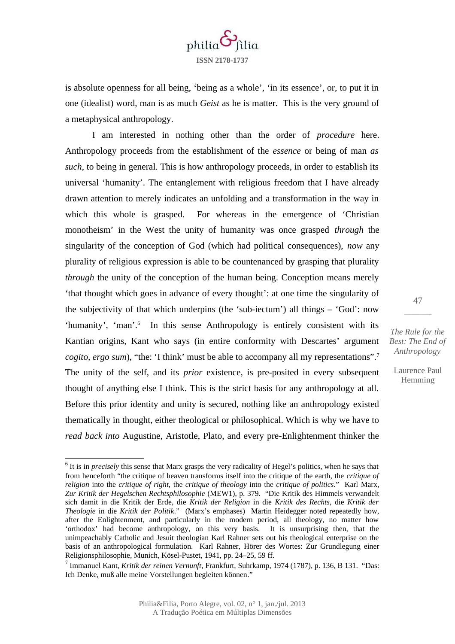

is absolute openness for all being, 'being as a whole', 'in its essence', or, to put it in one (idealist) word, man is as much *Geist* as he is matter. This is the very ground of a metaphysical anthropology.

I am interested in nothing other than the order of *procedure* here. Anthropology proceeds from the establishment of the *essence* or being of man *as such*, to being in general. This is how anthropology proceeds, in order to establish its universal 'humanity'. The entanglement with religious freedom that I have already drawn attention to merely indicates an unfolding and a transformation in the way in which this whole is grasped. For whereas in the emergence of 'Christian monotheism' in the West the unity of humanity was once grasped *through* the singularity of the conception of God (which had political consequences), *now* any plurality of religious expression is able to be countenanced by grasping that plurality *through* the unity of the conception of the human being. Conception means merely 'that thought which goes in advance of every thought': at one time the singularity of the subjectivity of that which underpins (the 'sub-iectum') all things – 'God': now 'humanity', 'man'.<sup>[6](#page-4-0)</sup> In this sense Anthropology is entirely consistent with its Kantian origins, Kant who says (in entire conformity with Descartes' argument *cogito, ergo sum*), "the: 'I think' must be able to accompany all my representations".<sup>[7](#page-4-1)</sup> The unity of the self, and its *prior* existence, is pre-posited in every subsequent thought of anything else I think. This is the strict basis for any anthropology at all. Before this prior identity and unity is secured, nothing like an anthropology existed thematically in thought, either theological or philosophical. Which is why we have to *read back into* Augustine, Aristotle, Plato, and every pre-Enlightenment thinker the

*The Rule for the Best: The End of Anthropology*

47  $\overline{\phantom{a}}$ 

<span id="page-4-0"></span><sup>&</sup>lt;sup>6</sup> It is in *precisely* this sense that Marx grasps the very radicality of Hegel's politics, when he says that from henceforth "the critique of heaven transforms itself into the critique of the earth, the *critique of religion* into the *critique of right*, the *critique of theology* into the *critique of politics.*" Karl Marx, *Zur Kritik der Hegelschen Rechtsphilosophie* (MEW1), p. 379. "Die Kritik des Himmels verwandelt sich damit in die Kritik der Erde, die *Kritik der Religion* in die *Kritik des Rechts*, die *Kritik der Theologie* in die *Kritik der Politik*." (Marx's emphases) Martin Heidegger noted repeatedly how, after the Enlightenment, and particularly in the modern period, all theology, no matter how 'orthodox' had become anthropology, on this very basis. It is unsurprising then, that the unimpeachably Catholic and Jesuit theologian Karl Rahner sets out his theological enterprise on the basis of an anthropological formulation. Karl Rahner, Hörer des Wortes: Zur Grundlegung einer Religionsphilosophie, Munich, Kösel-Pustet, 1941, pp. 24–25, 59 ff.

<span id="page-4-1"></span><sup>7</sup> Immanuel Kant, *Kritik der reinen Vernunft*, Frankfurt, Suhrkamp, 1974 (1787), p. 136, B 131. "Das: Ich Denke, muß alle meine Vorstellungen begleiten können."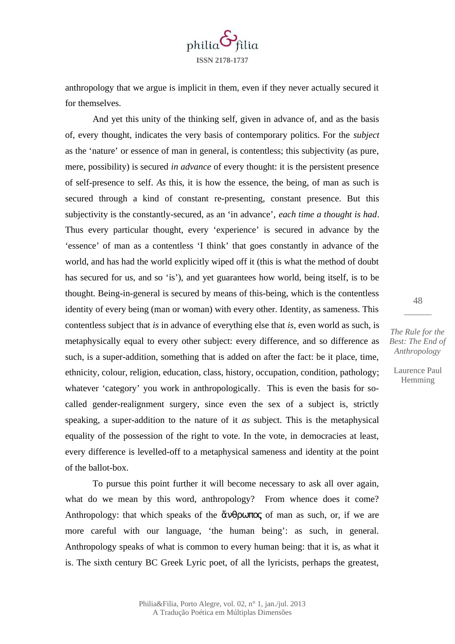

anthropology that we argue is implicit in them, even if they never actually secured it for themselves.

And yet this unity of the thinking self, given in advance of, and as the basis of, every thought, indicates the very basis of contemporary politics. For the *subject* as the 'nature' or essence of man in general, is contentless; this subjectivity (as pure, mere, possibility) is secured *in advance* of every thought: it is the persistent presence of self-presence to self. *As* this, it is how the essence, the being, of man as such is secured through a kind of constant re-presenting, constant presence. But this subjectivity is the constantly-secured, as an 'in advance', *each time a thought is had*. Thus every particular thought, every 'experience' is secured in advance by the 'essence' of man as a contentless 'I think' that goes constantly in advance of the world, and has had the world explicitly wiped off it (this is what the method of doubt has secured for us, and so 'is'), and yet guarantees how world, being itself, is to be thought. Being-in-general is secured by means of this-being, which is the contentless identity of every being (man or woman) with every other. Identity, as sameness. This contentless subject that *is* in advance of everything else that *is*, even world as such, is metaphysically equal to every other subject: every difference, and so difference as such, is a super-addition, something that is added on after the fact: be it place, time, ethnicity, colour, religion, education, class, history, occupation, condition, pathology; whatever 'category' you work in anthropologically. This is even the basis for socalled gender-realignment surgery, since even the sex of a subject is, strictly speaking, a super-addition to the nature of it *as* subject. This is the metaphysical equality of the possession of the right to vote. In the vote, in democracies at least, every difference is levelled-off to a metaphysical sameness and identity at the point of the ballot-box.

To pursue this point further it will become necessary to ask all over again, what do we mean by this word, anthropology? From whence does it come? Anthropology: that which speaks of the  $\alpha$   $\beta$ more careful with our language, 'the human being': as such, in general. Anthropology speaks of what is common to every human being: that it is, as what it is. The sixth century BC Greek Lyric poet, of all the lyricists, perhaps the greatest,

48  $\overline{\phantom{a}}$ 

*The Rule for the Best: The End of Anthropology*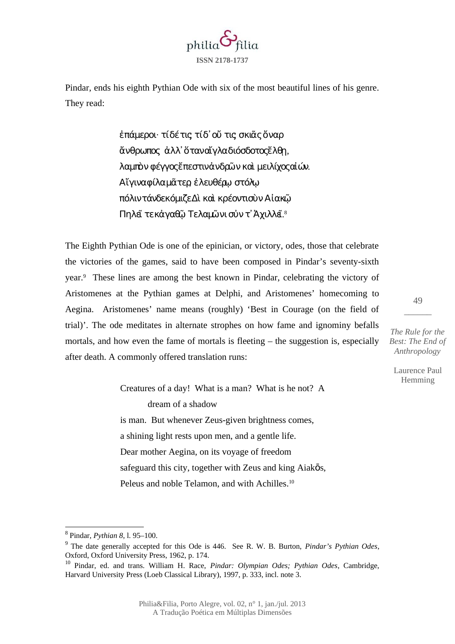

<span id="page-6-0"></span>8 Pindar, *Pythian 8*, l. 95–100.

dream of a shadow is man. But whenever Zeus-given brightness comes, a shining light rests upon men, and a gentle life. Dear mother Aegina, on its voyage of freedom safeguard this city, together with Zeus and king Aiak $\bar{\text{o}}$ s, Peleus and noble Telamon, and with Achilles.<sup>[10](#page-6-2)</sup>

49  $\overline{\phantom{a}}$ 

Laurence Paul Hemming

## έπάμεροι· τίδέτις τίδ' οὔ τις σκιᾶς ὄναρ άνθρωπος άλλ' ὅταναἴγλαδιόσδοτος έλθη, λαμπὸνφέγγοςἔπεστινἀνδρῶνκαὶ μειλίχοςαἰών. Αἴγιναφίλαμᾶτερ ἐλευθέρω στόλω πόλιντάνδεκόμιζεΔὶ καὶ κρέοντισὺνΑἰακῷ

The Eighth Pythian Ode is one of the epinician, or victory, odes, those that celebrate

the victories of the games, said to have been composed in Pindar's seventy-sixth

year.[9](#page-6-1) These lines are among the best known in Pindar, celebrating the victory of Aristomenes at the Pythian games at Delphi, and Aristomenes' homecoming to

Aegina. Aristomenes' name means (roughly) 'Best in Courage (on the field of trial)'. The ode meditates in alternate strophes on how fame and ignominy befalls

mortals, and how even the fame of mortals is fleeting – the suggestion is, especially

Creatures of a day! What is a man? What is he not? A

after death. A commonly offered translation runs:

Πηλεῖ τεκἀγαθῷ Τελαμῶνι σὐν τ' Ἀχιλλεῖ.<sup>[8](#page-6-0)</sup>

Pindar, ends his eighth Pythian Ode with six of the most beautiful lines of his genre. They read:



<span id="page-6-1"></span><sup>9</sup> The date generally accepted for this Ode is 446. See R. W. B. Burton, *Pindar's Pythian Odes*, Oxford, Oxford University Press, 1962, p. 174.

<span id="page-6-2"></span><sup>10</sup> Pindar, ed. and trans. William H. Race, *Pindar: Olympian Odes; Pythian Odes*, Cambridge, Harvard University Press (Loeb Classical Library), 1997, p. 333, incl. note 3.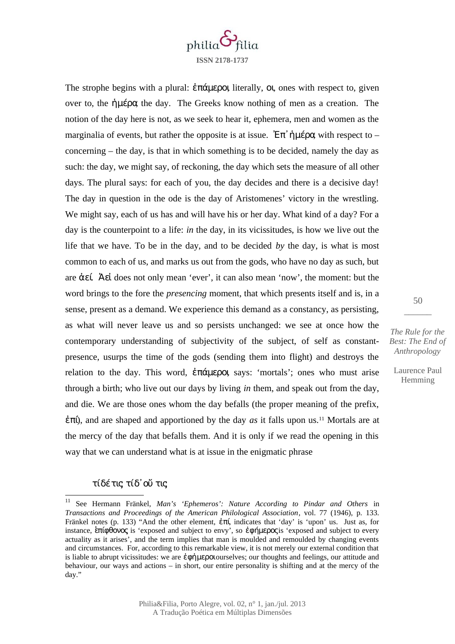

The strophe begins with a plural: ἐπάμεροι, literally, οι*,* ones with respect to, given over to, the ήμέρα, the day. The Greeks know nothing of men as a creation. The notion of the day here is not, as we seek to hear it, ephemera, men and women as the marginalia of events, but rather the opposite is at issue.  $\mathbb{E} \pi$   $\hat{\theta}$  hu $\hat{\theta}$  with respect to – concerning – the day, is that in which something is to be decided, namely the day as such: the day, we might say, of reckoning, the day which sets the measure of all other days. The plural says: for each of you, the day decides and there is a decisive day! The day in question in the ode is the day of Aristomenes' victory in the wrestling. We might say, each of us has and will have his or her day. What kind of a day? For a day is the counterpoint to a life: *in* the day, in its vicissitudes, is how we live out the life that we have. To be in the day, and to be decided *by* the day, is what is most common to each of us, and marks us out from the gods, who have no day as such, but are ἀεί. Ἀεἰ does not only mean 'ever', it can also mean 'now', the moment: but the word brings to the fore the *presencing* moment, that which presents itself and is, in a sense, present as a demand. We experience this demand as a constancy, as persisting, as what will never leave us and so persists unchanged: we see at once how the contemporary understanding of subjectivity of the subject, of self as constantpresence, usurps the time of the gods (sending them into flight) and destroys the relation to the day. This word, ἐπάμεροι, says: 'mortals'; ones who must arise through a birth; who live out our days by living *in* them, and speak out from the day, and die. We are those ones whom the day befalls (the proper meaning of the prefix, ἐπί), and are shaped and apportioned by the day *as* it falls upon us.[11](#page-7-0) Mortals are at the mercy of the day that befalls them. And it is only if we read the opening in this way that we can understand what is at issue in the enigmatic phrase

## τίδέτις; τίδ᾽οὔ τις;

*The Rule for the Best: The End of Anthropology*

50  $\overline{\phantom{a}}$ 

<span id="page-7-0"></span><sup>11</sup> See Hermann Fränkel, *Man's 'Ephemeros': Nature According to Pindar and Others* in *Transactions and Proceedings of the American Philological Association*, vol. 77 (1946), p. 133. Fränkel notes (p. 133) "And the other element, ἐπί, indicates that 'day' is 'upon' us. Just as, for instance, επίφθονος is 'exposed and subject to envy', so εφήμερος is 'exposed and subject to every actuality as it arises', and the term implies that man is moulded and remoulded by changing events and circumstances. For, according to this remarkable view, it is not merely our external condition that is liable to abrupt vicissitudes: we are **έφήμερο** courselves; our thoughts and feelings, our attitude and behaviour, our ways and actions – in short, our entire personality is shifting and at the mercy of the day."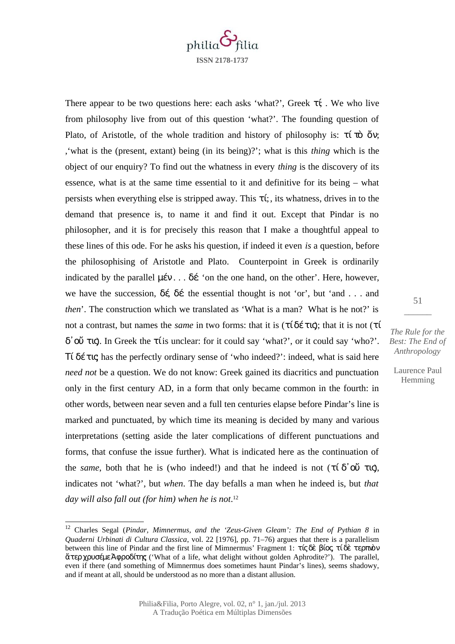

There appear to be two questions here: each asks 'what?', Greek  $\tau f$ . We who live from philosophy live from out of this question 'what?'. The founding question of Plato, of Aristotle, of the whole tradition and history of philosophy is:  $\tau(\vec{u})$  ὄν; ,'what is the (present, extant) being (in its being)?'; what is this *thing* which is the object of our enquiry? To find out the whatness in every *thing* is the discovery of its essence, what is at the same time essential to it and definitive for its being – what persists when everything else is stripped away. This  $\tau$ *i*, its whatness, drives in to the demand that presence is, to name it and find it out. Except that Pindar is no philosopher, and it is for precisely this reason that I make a thoughtful appeal to these lines of this ode. For he asks his question, if indeed it even *is* a question, before the philosophising of Aristotle and Plato. Counterpoint in Greek is ordinarily indicated by the parallel  $\mu \in V$ ... δέ 'on the one hand, on the other'. Here, however, we have the succession,  $\delta \xi$   $\delta \xi$  the essential thought is not 'or', but 'and ... and *then*'. The construction which we translated as 'What is a man? What is he not?' is not a contrast, but names the *same* in two forms: that it is (τίδέτις); that it is not (τί δ᾽οὔ τις). In Greek the τί is unclear: for it could say 'what?', or it could say 'who?'. Τί δέτις; has the perfectly ordinary sense of 'who indeed?': indeed, what is said here *need not* be a question. We do not know: Greek gained its diacritics and punctuation only in the first century AD, in a form that only became common in the fourth: in other words, between near seven and a full ten centuries elapse before Pindar's line is marked and punctuated, by which time its meaning is decided by many and various interpretations (setting aside the later complications of different punctuations and forms, that confuse the issue further). What is indicated here as the continuation of the *same*, both that he is (who indeed!) and that he indeed is not (τίδ'ου τις), indicates not 'what?', but *when*. The day befalls a man when he indeed is, but *that day will also fall out (for him) when he is not*. [12](#page-8-0)

*The Rule for the Best: The End of Anthropology*

51  $\overline{\phantom{a}}$ 

<span id="page-8-0"></span><sup>12</sup> Charles Segal (*Pindar, Mimnermus, and the 'Zeus-Given Gleam': The End of Pythian 8* in *Quaderni Urbinati di Cultura Classica*, vol. 22 [1976], pp. 71–76) argues that there is a parallelism between this line of Pindar and the first line of Mimnermus' Fragment 1: τίς δὲ βίος τίδε τερπιὸν ἄτερχρυσέμεἈφροδίτης; ('What of a life, what delight without golden Aphrodite?'). The parallel, even if there (and something of Mimnermus does sometimes haunt Pindar's lines), seems shadowy, and if meant at all, should be understood as no more than a distant allusion.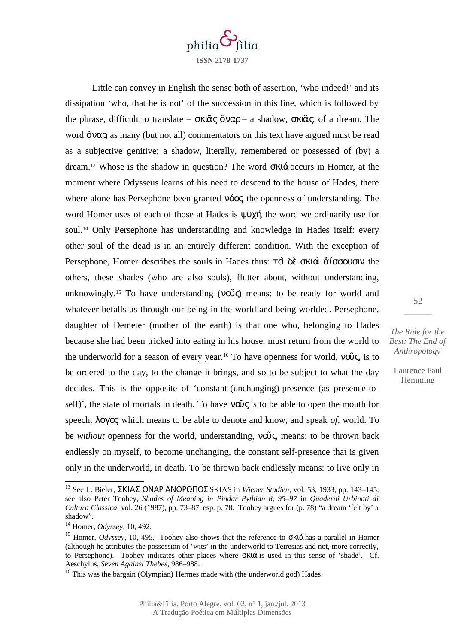

Little can convey in English the sense both of assertion, 'who indeed!' and its dissipation 'who, that he is not' of the succession in this line, which is followed by the phrase, difficult to translate –  $\sigma \kappa \tilde{\alpha} \varsigma \tilde{\delta} \nu \alpha \rho$  – a shadow,  $\sigma \kappa \tilde{\alpha} \varsigma$  of a dream. The word  $\breve{\text{o}}$ να $\alpha$  as many (but not all) commentators on this text have argued must be read as a subjective genitive; a shadow, literally, remembered or possessed of (by) a dream.[13](#page-9-0) Whose is the shadow in question? The word σκιά occurs in Homer, at the moment where Odysseus learns of his need to descend to the house of Hades, there where alone has Persephone been granted **νόος** the openness of understanding. The word Homer uses of each of those at Hades is ψυχή the word we ordinarily use for soul.[14](#page-9-1) Only Persephone has understanding and knowledge in Hades itself: every other soul of the dead is in an entirely different condition. With the exception of Persephone, Homer describes the souls in Hades thus: τ $\dot{\alpha}$  δε σκιαὶ άίσσουσιν: the others, these shades (who are also souls), flutter about, without understanding, unknowingly.<sup>[15](#page-9-2)</sup> To have understanding ( $\nu \tilde{\omega}$ ) means: to be ready for world and whatever befalls us through our being in the world and being worlded. Persephone, daughter of Demeter (mother of the earth) is that one who, belonging to Hades because she had been tricked into eating in his house, must return from the world to the underworld for a season of every year.<sup>[16](#page-9-3)</sup> To have openness for world,  $\nu\tilde{\omega}\zeta$  is to be ordered to the day, to the change it brings, and so to be subject to what the day decides. This is the opposite of 'constant-(unchanging)-presence (as presence-toself)', the state of mortals in death. To have  $\nu \tilde{\omega} \zeta$  is to be able to open the mouth for speech, λόγος, which means to be able to denote and know, and speak *of*, world. To be *without* openness for the world, understanding, νοῦς means: to be thrown back endlessly on myself, to become unchanging, the constant self-presence that is given only in the underworld, in death. To be thrown back endlessly means: to live only in

*The Rule for the Best: The End of Anthropology*

52  $\overline{\phantom{a}}$ 

<span id="page-9-0"></span><sup>13</sup> See L. Bieler, ΣΚΙΑΣ ΟΝΑΡ ΑΝΘΡΩΠΟΣ SKIAS in *Wiener Studien*, vol. 53, 1933, pp. 143–145; see also Peter Toohey, *Shades of Meaning in Pindar Pythian 8, 95–97* in *Quaderni Urbinati di Cultura Classica*, vol. 26 (1987), pp. 73–87, esp. p. 78. Toohey argues for (p. 78) "a dream 'felt by' a shadow".

<span id="page-9-1"></span><sup>14</sup> Homer, *Odyssey*, 10, 492.

<span id="page-9-2"></span><sup>15</sup> Homer, *Odyssey*, 10, 495. Toohey also shows that the reference to σκιά has a parallel in Homer (although he attributes the possession of 'wits' in the underworld to Teiresias and not, more correctly, to Persephone). Toohey indicates other places where σκιά is used in this sense of 'shade'. Cf. Aeschylus, *Seven Against Thebes*, 986–988.

<span id="page-9-3"></span><sup>&</sup>lt;sup>16</sup> This was the bargain (Olympian) Hermes made with (the underworld god) Hades.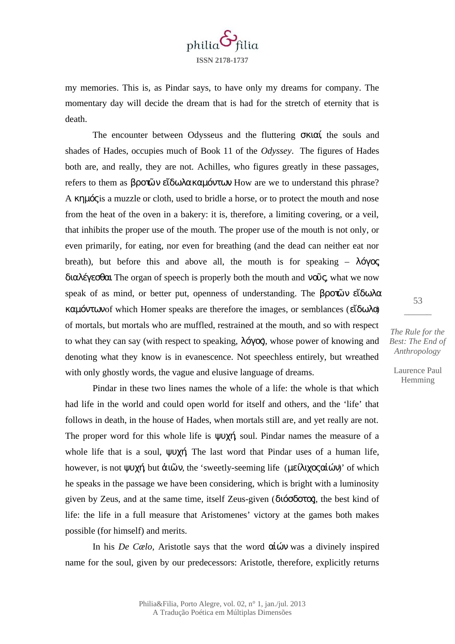

my memories. This is, as Pindar says, to have only my dreams for company. The momentary day will decide the dream that is had for the stretch of eternity that is death.

The encounter between Odysseus and the fluttering σκιαί, the souls and shades of Hades, occupies much of Book 11 of the *Odyssey*. The figures of Hades both are, and really, they are not. Achilles, who figures greatly in these passages, refers to them as βροτῶν εἴδωλακαμόντων. How are we to understand this phrase? A κημός is a muzzle or cloth, used to bridle a horse, or to protect the mouth and nose from the heat of the oven in a bakery: it is, therefore, a limiting covering, or a veil, that inhibits the proper use of the mouth. The proper use of the mouth is not only, or even primarily, for eating, nor even for breathing (and the dead can neither eat nor breath), but before this and above all, the mouth is for speaking –  $\lambda \acute{o} \gamma \alpha \zeta$ διαλέγεσθαι. The organ of speech is properly both the mouth and νοῦς, what we now speak of as mind, or better put, openness of understanding. The βροτῶν εἴδωλα καμόντων of which Homer speaks are therefore the images, or semblances (εἴδωλα) of mortals, but mortals who are muffled, restrained at the mouth, and so with respect to what they can say (with respect to speaking,  $\lambda$ όγος), whose power of knowing and denoting what they know is in evanescence. Not speechless entirely, but wreathed with only ghostly words, the vague and elusive language of dreams.

Pindar in these two lines names the whole of a life: the whole is that which had life in the world and could open world for itself and others, and the 'life' that follows in death, in the house of Hades, when mortals still are, and yet really are not. The proper word for this whole life is  $\psi \psi \chi \eta$  soul. Pindar names the measure of a whole life that is a soul, ψυχή. The last word that Pindar uses of a human life, however, is not ψυχή, but ἀιῶν, the 'sweetly-seeming life (μείλιχοςαἰών)' of which he speaks in the passage we have been considering, which is bright with a luminosity given by Zeus, and at the same time, itself Zeus-given (διόσδοτος), the best kind of life: the life in a full measure that Aristomenes' victory at the games both makes possible (for himself) and merits.

In his *De Cælo,* Aristotle says that the word αἰών was a divinely inspired name for the soul, given by our predecessors: Aristotle, therefore, explicitly returns

 $\overline{\phantom{a}}$ 

53

*The Rule for the Best: The End of Anthropology*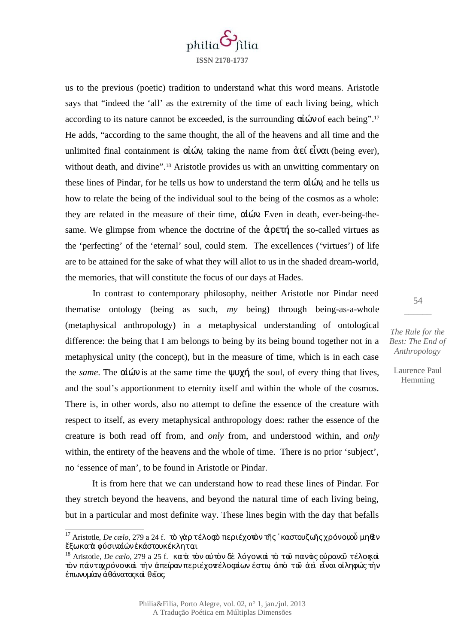

us to the previous (poetic) tradition to understand what this word means. Aristotle says that "indeed the 'all' as the extremity of the time of each living being, which according to its nature cannot be exceeded, is the surrounding  $\alpha\alpha\omega$  of each being".<sup>[17](#page-11-0)</sup> He adds, "according to the same thought, the all of the heavens and all time and the unlimited final containment is  $\alpha\overline{\omega}v$ , taking the name from  $\alpha\epsilon\overline{\omega}v\alpha\overline{\omega}$  (being ever), without death, and divine".<sup>[18](#page-11-1)</sup> Aristotle provides us with an unwitting commentary on these lines of Pindar, for he tells us how to understand the term  $\alpha\alpha\omega$  and he tells us how to relate the being of the individual soul to the being of the cosmos as a whole: they are related in the measure of their time,  $\alpha\dot{\omega}$ . Even in death, ever-being-thesame. We glimpse from whence the doctrine of the  $\dot{\alpha}$   $\rho \epsilon \tau \eta$  the so-called virtues as the 'perfecting' of the 'eternal' soul, could stem. The excellences ('virtues') of life are to be attained for the sake of what they will allot to us in the shaded dream-world, the memories, that will constitute the focus of our days at Hades.

In contrast to contemporary philosophy, neither Aristotle nor Pindar need thematise ontology (being as such, *my* being) through being-as-a-whole (metaphysical anthropology) in a metaphysical understanding of ontological difference: the being that I am belongs to being by its being bound together not in a metaphysical unity (the concept), but in the measure of time, which is in each case the *same*. The αἰών is at the same time the ψυχή, the soul, of every thing that lives, and the soul's apportionment to eternity itself and within the whole of the cosmos. There is, in other words, also no attempt to define the essence of the creature with respect to itself, as every metaphysical anthropology does: rather the essence of the creature is both read off from, and *only* from, and understood within, and *only* within, the entirety of the heavens and the whole of time. There is no prior 'subject', no 'essence of man', to be found in Aristotle or Pindar.

It is from here that we can understand how to read these lines of Pindar. For they stretch beyond the heavens, and beyond the natural time of each living being, but in a particular and most definite way. These lines begin with the day that befalls

54  $\overline{\phantom{a}}$ 

*The Rule for the Best: The End of Anthropology*

<span id="page-11-0"></span><sup>&</sup>lt;sup>17</sup> Aristotle, *De cælo*, 279 a 24 f. τὸ γὰρ τέλος το περιέχονον τῆς `καστουζωῆς χρόνοιοὗ μηθεν ἔξωκατὰ φύσιναἰών εκάστου κέκληται

<span id="page-11-1"></span><sup>&</sup>lt;sup>18</sup> Aristotle, *De cælo*, 279 a 25 f. κατά τὸν αὐτὸν δὲ λόγο καὶ τὸ τοῦ παν το οὐρανοῦ τέλο αλ τὸν πάνταχρόνονκαὶ τὴν ἀπείραν περιέχοντέλοςαἰων ἐστιν, ἀπὸ τοῦ ἀεὶ εἶναι αἰληφώςτὴν έπωνυμίαν άθάνατος και θέσος.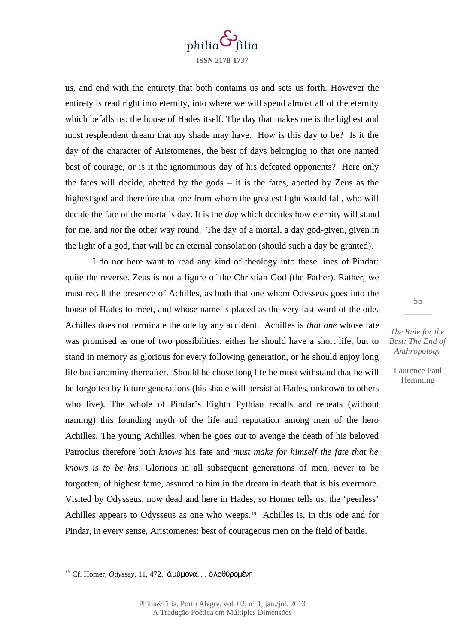

us, and end with the entirety that both contains us and sets us forth. However the entirety is read right into eternity, into where we will spend almost all of the eternity which befalls us: the house of Hades itself. The day that makes me is the highest and most resplendent dream that my shade may have. How is this day to be? Is it the day of the character of Aristomenes, the best of days belonging to that one named best of courage, or is it the ignominious day of his defeated opponents? Here only the fates will decide, abetted by the gods – it is the fates, abetted by Zeus as the highest god and therefore that one from whom the greatest light would fall, who will decide the fate of the mortal's day. It is the *day* which decides how eternity will stand for me, and *not* the other way round. The day of a mortal, a day god-given, given in the light of a god, that will be an eternal consolation (should such a day be granted).

I do not here want to read any kind of theology into these lines of Pindar: quite the reverse. Zeus is not a figure of the Christian God (the Father). Rather, we must recall the presence of Achilles, as both that one whom Odysseus goes into the house of Hades to meet, and whose name is placed as the very last word of the ode. Achilles does not terminate the ode by any accident. Achilles is *that one* whose fate was promised as one of two possibilities: either he should have a short life, but to stand in memory as glorious for every following generation, or he should enjoy long life but ignominy thereafter. Should he chose long life he must withstand that he will be forgotten by future generations (his shade will persist at Hades, unknown to others who live). The whole of Pindar's Eighth Pythian recalls and repeats (without naming) this founding myth of the life and reputation among men of the hero Achilles. The young Achilles, when he goes out to avenge the death of his beloved Patroclus therefore both *knows* his fate and *must make for himself the fate that he knows is to be his*. Glorious in all subsequent generations of men, never to be forgotten, of highest fame, assured to him in the dream in death that is his evermore. Visited by Odysseus, now dead and here in Hades, so Homer tells us, the 'peerless' Achilles appears to Odysseus as one who weeps.<sup>[19](#page-12-0)</sup> Achilles is, in this ode and for Pindar, in every sense, Aristomenes: best of courageous men on the field of battle.

55  $\overline{\phantom{a}}$ 

*The Rule for the Best: The End of Anthropology*

<span id="page-12-0"></span><sup>19</sup> Cf. Homer, *Odyssey*, 11, 472. ἀμύμονα . . . ὀλοθύρομένη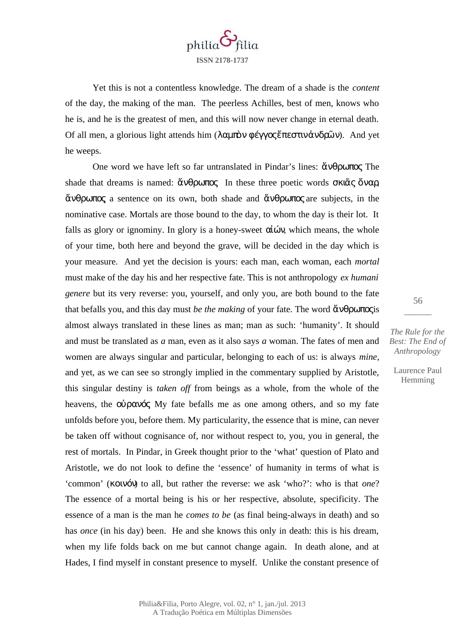

Yet this is not a contentless knowledge. The dream of a shade is the *content* of the day, the making of the man. The peerless Achilles, best of men, knows who he is, and he is the greatest of men, and this will now never change in eternal death. Of all men, a glorious light attends him (λαμπὸν φέγγος ἔπεστινἀνδρῶν). And yet he weeps.

One word we have left so far untranslated in Pindar's lines: ἄνθρωπος. The shade that dreams is named: ἄνθρωπος. In these three poetic words σκιᾶς ὄναρ ἄνθρωπος, a sentence on its own, both shade and ἄνθρωπος are subjects, in the nominative case. Mortals are those bound to the day, to whom the day is their lot. It falls as glory or ignominy. In glory is a honey-sweet  $\alpha\hat{i}\omega\hat{v}$ , which means, the whole of your time, both here and beyond the grave, will be decided in the day which is your measure. And yet the decision is yours: each man, each woman, each *mortal* must make of the day his and her respective fate. This is not anthropology *ex humani genere* but its very reverse: you, yourself, and only you, are both bound to the fate that befalls you, and this day must *be the making* of your fate. The word **άνθρωπος** is almost always translated in these lines as man; man as such: 'humanity'. It should and must be translated as *a* man, even as it also says *a* woman. The fates of men and women are always singular and particular, belonging to each of us: is always *mine*, and yet, as we can see so strongly implied in the commentary supplied by Aristotle, this singular destiny is *taken off* from beings as a whole, from the whole of the heavens, the  $o\dot{o}\rho a\dot{o} \dot{o}$  My fate befalls me as one among others, and so my fate unfolds before you, before them. My particularity, the essence that is mine, can never be taken off without cognisance of, nor without respect to, you, you in general, the rest of mortals. In Pindar, in Greek thought prior to the 'what' question of Plato and Aristotle, we do not look to define the 'essence' of humanity in terms of what is 'common' (κοινόν) to all, but rather the reverse: we ask 'who?': who is that *one*? The essence of a mortal being is his or her respective, absolute, specificity. The essence of a man is the man he *comes to be* (as final being-always in death) and so has *once* (in his day) been. He and she knows this only in death: this is his dream, when my life folds back on me but cannot change again. In death alone, and at Hades, I find myself in constant presence to myself. Unlike the constant presence of

*The Rule for the Best: The End of Anthropology*

56  $\overline{\phantom{a}}$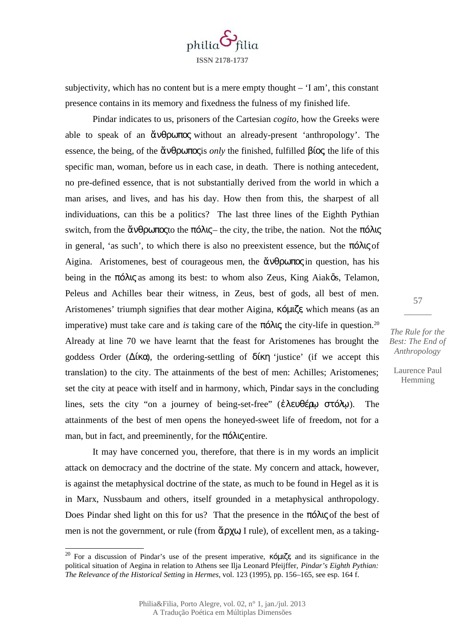

subjectivity, which has no content but is a mere empty thought  $-$  'I am', this constant presence contains in its memory and fixedness the fulness of my finished life.

Pindar indicates to us, prisoners of the Cartesian *cogito*, how the Greeks were able to speak of an ἄνθρωπος without an already-present 'anthropology'. The essence, the being, of the **ἄνθρωπος** is *only* the finished, fulfilled **βίος** the life of this specific man, woman, before us in each case, in death. There is nothing antecedent, no pre-defined essence, that is not substantially derived from the world in which a man arises, and lives, and has his day. How then from this, the sharpest of all individuations, can this be a politics? The last three lines of the Eighth Pythian switch, from the άνθρωπος to the πόλις– the city, the tribe, the nation. Not the πόλις in general, 'as such', to which there is also no preexistent essence, but the πόλις of Aigina. Aristomenes, best of courageous men, the  $\alpha \theta$   $\beta \alpha \pi \alpha \zeta$  question, has his being in the πόλις as among its best: to whom also Zeus, King Aiakōs, Telamon, Peleus and Achilles bear their witness, in Zeus, best of gods, all best of men. Aristomenes' triumph signifies that dear mother Aigina, κόμιζε which means (as an imperative) must take care and *is* taking care of the πόλις the city-life in question.<sup>[20](#page-14-0)</sup> Already at line 70 we have learnt that the feast for Aristomenes has brought the goddess Order ( $\Delta$ ίκα), the ordering-settling of  $\delta$ ίκη 'justice' (if we accept this translation) to the city. The attainments of the best of men: Achilles; Aristomenes; set the city at peace with itself and in harmony, which, Pindar says in the concluding lines, sets the city "on a journey of being-set-free" (ἐλευθέρω στόλω). The attainments of the best of men opens the honeyed-sweet life of freedom, not for a man, but in fact, and preeminently, for the πόλις entire.

It may have concerned you, therefore, that there is in my words an implicit attack on democracy and the doctrine of the state. My concern and attack, however, is against the metaphysical doctrine of the state, as much to be found in Hegel as it is in Marx, Nussbaum and others, itself grounded in a metaphysical anthropology. Does Pindar shed light on this for us? That the presence in the πόλις of the best of men is not the government, or rule (from  $\tilde{\alpha} \rho \chi \omega$  I rule), of excellent men, as a taking-

*The Rule for the Best: The End of Anthropology*

57  $\overline{\phantom{a}}$ 

<span id="page-14-0"></span><sup>&</sup>lt;sup>20</sup> For a discussion of Pindar's use of the present imperative, κόμιζε, and its significance in the political situation of Aegina in relation to Athens see Ilja Leonard Pfeijffer, *Pindar's Eighth Pythian: The Relevance of the Historical Setting* in *Hermes*, vol. 123 (1995), pp. 156–165, see esp. 164 f.